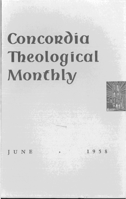# Concordia Theological Monthly



UNE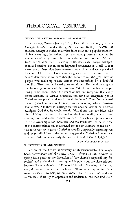# **THEOLOGICAL OBSERVER**

### ETHICAL RELATIVISM AND POPULAR MORALITY

In *Theology Today* (January 1958) Dean W. E. Easton, Jr., of Park College, Missouri, under the given heading, frankly discusses the modern concept of ethical relativism in its relation to popular morality. A few years ago, he writes, right and wrong were assumed to be absolutes and easily discernible. But today we are less sure. We still teach our children that it is wrong to lie, steal, cheat, forge, misrepresent, and murder. But in the underground movement of World War II every one of these vices became necessities at times and were practiced by sincere Christians. Hence what is right and what is wrong is not so easy to determine as we once thought. Nevertheless, the great mass of people who make up society cannot live successfully by a doubtful morality. They want and need some certainties. He therefore suggests the following solution of the problem: "While as intelligent people trying to be honest about the issues of life, we recognize that every moral absolute, in certain situations, can have an exception, yet as Christians we preach and teach moral absolutes." Thus the only real reasons (which are not intellectually rational reasons) why a Christian should remain faithful in marriage are that once he took an oath before Almighty God that he would remain faithful and that the Bible tells him infidelity is wrong. "This kind of absolute morality is what I am coming more and more to think we need to teach and preach today. If this is oversimple, too moralistic and too Puritanical, so be it! One of the characteristics which attracted the ancient Romans to the Christian faith was the rigorous Christian morality, especially regarding sex and the self-discipline of the home. I suggest that Christian intellectuals ponder a little more seriously the words of Paul, 1 Cor. 2: 1, 4,5."

#### RAUSCHENBUSCH AND NIEBUHR

JOHN THEODORE MUELLER

In view of the fiftieth anniversary of Rauschenbusch's first major book, *Christianity and the Social Crisis, Religion in Life* devotes its spring issue partly to the discussion of "the church's responsibility for society" and under the first leading article points out the close relation between Rauschenbusch and Reinhold Niebuhr. Speaking of the two men, the writer reaches the conclusion: "If we would appreciate their stature as social prophets, we must know them in their times and circumstances. If we try to appreciate and understand, we may find them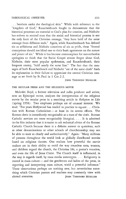... brothers under the theological skin." While with reference to the "kingdom of God," Rauschenbusch fought to demonstrate that the historical processes are essential to God's plan for creation, and Niebuhr has striven to remind man that the social and historical process is not the only facet of the Christian message, "they have hold of the same message from different ends." Again, while Rauschenbusch has defined sin as selfishness and Niebuhr conceives of sin as pride, these "formal conceptions should not blind one to their basic agreement on the nature and power of sin." While it has become commonplace for neo-orthodox apologists to think that the Social Gospel stream forgot about God, Niebuhr, their most popular spokesman, and Rauschenbusch, their frequent enemy, "hold nearly the same line." The fact that the messages of both Rauschenbusch and Niebuhr "are of the same cloth" finds its explanation in their failure to appreciate the central Christian message as set forth by St. Paul in 1 Cor. 2:2.

JOHN THEODORE MUELLER

#### THE SECULAR PRESS AND THE RELIGIOUS MOVIE

Malcolm Boyd, a former television and radio producer and writer, now an Episcopal rector, analyzes the interpretation of the religious movie by the secular press in a searching article in *Religion in Life*  (spring 1958). Two emphases perhaps are of unusual interest. We read: "For years Hollywood has tended in practice to equate ... Christian with Roman Catholicism - at least in its screen efforts. The Roman cleric is immediately recognizable as a man of the cloth. Roman Catholic services are more recognizably liturgicaL . . . **It** is admitted in the film industry that it is easier to ask technical advice of the Roman Catholic Church because there is a definite answer to questions, such as other denominations or other schools of churchmanship may not be able to state so clearly and authoritatively." Again: "Many millions of persons throughout the world look at globally distributed movies based on religious themes. One realizes how powerful the movie makers are in their ability to mold the way countless men, women, and children regard the church, the Christian life, a pastor's vocation, and even the life of Jesus Christ. The Church itself is influenced, in the way it regards itself, by mass media stereotypes. . . . Religiosity is rooted in mass culture - and the gentlemen and ladies of the press, in reporting and interpreting mass culture, wield a powerful influence." These observations perhaps are nothing new, but nevertheless something which Christian pastors and teachers may constantly view with alerted attention. THEODORE MUELLER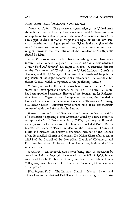#### BRIEF ITEMS FROM "RELIGIOUS NEWS SERVICE"

Damascus, Syria. - The provisional constitution of the United Arab Republic announced here by President Gamal Abdel Nasser contains no stipulation for a state religion in the new Arab nation uniting Syria and Egypt. It declares that all religions are equal before the law. Previous constitutions of Egypt stated that "Islam is the religion of the state." Syrian constitutions of recent years, while not mentioning a state religion, provided that "the religion of the President of the Republic should be Islam."

*New York.* - Advance orders from publishing houses have been received for all 635,000 copies of the first edition of a new *Lutheran Service Book* and *Hymnal.* Dr. Edgar S. Brown, Jr., executive director of the Department of Worship of the United Lutheran Church in America, said the I,024-page volume would be distributed by publishing houses of the eight denominations, members of the National Lutheran Council, which co-operated in the publishing venture.

St. Louis, Mo. - Dr. Ernest G. Schwiebert, historian for the Air Research and Development Command of the U. S. Air Force, Baltimore, has been appointed executive director of the Foundation for Reformation Research. Organized and incorporated last year, the foundation has headquarters on the campus of Concordia Theological Seminary, a Lutheran Church - Missouri Synod school, here. It collects materials connected with the Reformation in Europe.

*Berlin.* - Prominent Protestant churchmen were among the signers of a declaration opposing atomic armament issued by a new committee set up by the Social Democratic Party (SPD) to arouse public sentiment against nuclear weapons. The churchmen included Pastor Martin Niemoeller, newly re-elected president of the Evangelical Church of Hesse and Nassau; Dr. Gustav Heinemann, member of the Council of the Evangelical Church of Germany; Dr. Heinz Kloppenburg, senior official of the Council of the Evangelical Church of Oldenburg; and Dr. Hans Iwand and Professor Helmut Gollwitzer, both of the University of Bonn.

*Jerusalem.* — An archaeological school being built in Jerusalem by American Reform Jews will be opened in the fall of 1959, it was announced here by Dr. Nelson Glueck, president of the Hebrew Union College - Jewish Institute of Religion in Cincinnati, Ohio, sponsors of the project.

*Washington, D.C.* - The Lutheran Church - Missouri Synod paid tribute here to the National Park Service for co-operating with a Chris-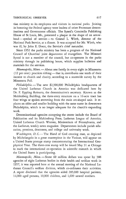#### THEOLOGICAL OBSERVER 457

tian ministry to its employees and visitors in national parks. Joining in honoring the Federal agency were leaders of other Protestant denominations and Government officials. The Synod's Concordia Publishing House of St. Louis, Mo., presented a plaque in the shape of an arrowhead - symbol of service - to Conrad L. Wirth, director of the National Park Service, at a dinner. It was accepted for Mr. Wirth, who was ill, by John E. Doerr, the Service's chief naturalist.

Since 1952 the parks ministry has been a program of the National Council of Churches' joint department of evangelism. The Missouri Synod is not a member of the council, but co-operates in the parks ministry through its publishing house, which supplies bulletins and materials for the services.

*Minneapolis, Minn.* - About one family in every eight in Minnesota  $(12$  per cent) practices tithing — that is, contributes one tenth of their income to church and charity, according to a statewide survey by the Minnesota Poll.

*Philadelphia.* - The new \$2,500,000 Philadelphia headquarters of the United Lutheran Church in America was dedicated here by Dr. F. Eppling Reinartz, the denomination's secretary. Known as the Muhlenberg Building, the three-story structure on a 16-acre tract has four wings or spokes stemming from the main arc-shaped unit. It replaces an older and smaller building with the same name in downtown Philadelphia, which is no longer adequate for the church's expanding work.

Denominational agencies occupying the center include the Board of Publication and its Muhlenberg Press, Lutheran League of America, United Lutheran Church Women, Ministerium of Pennsylvania, and the *Lutheran,* weekly news magazine. Departments include parish education, pensions, deaconess, and college and university work.

*Washington, D.C.* - The Hand of God creating man, as depicted by Michelangelo in a great masterpiece in the Vatican, will appear on a United States postage stamp commemorating the International Geophysical Year. The three-cent stamp will be issued May 31 at Chicago to mark the international co-operation in scientific research in which the United States is participating.

*Minneapolis, Minn.* - Some 60 million dollars was spent by 388 agencies of eight Lutheran bodies in their health and welfare work in 1957, it was reported here at the annual meeting of the National Lutheran Council's welfare division, which co-ordinates their activities. A report disclosed that the agencies aided 285,000 hospital patients, 14,000 aged persons, 10,000 children, and 1,600 unwed mothers.